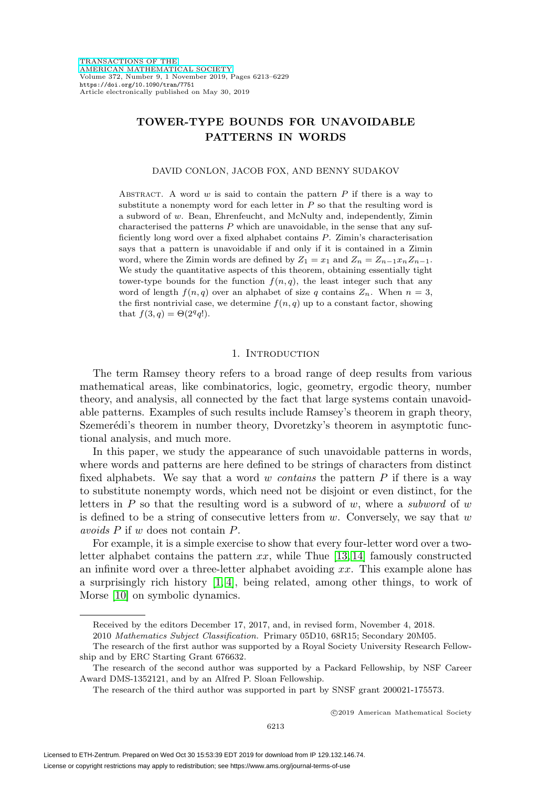# **TOWER-TYPE BOUNDS FOR UNAVOIDABLE PATTERNS IN WORDS**

#### DAVID CONLON, JACOB FOX, AND BENNY SUDAKOV

ABSTRACT. A word  $w$  is said to contain the pattern  $P$  if there is a way to substitute a nonempty word for each letter in  $P$  so that the resulting word is a subword of w. Bean, Ehrenfeucht, and McNulty and, independently, Zimin characterised the patterns  $P$  which are unavoidable, in the sense that any sufficiently long word over a fixed alphabet contains P. Zimin's characterisation says that a pattern is unavoidable if and only if it is contained in a Zimin word, where the Zimin words are defined by  $Z_1 = x_1$  and  $Z_n = Z_{n-1}x_nZ_{n-1}$ . We study the quantitative aspects of this theorem, obtaining essentially tight tower-type bounds for the function  $f(n, q)$ , the least integer such that any word of length  $f(n, q)$  over an alphabet of size q contains  $Z_n$ . When  $n = 3$ , the first nontrivial case, we determine  $f(n, q)$  up to a constant factor, showing that  $f(3,q) = \Theta(2^q q!)$ .

#### 1. INTRODUCTION

The term Ramsey theory refers to a broad range of deep results from various mathematical areas, like combinatorics, logic, geometry, ergodic theory, number theory, and analysis, all connected by the fact that large systems contain unavoidable patterns. Examples of such results include Ramsey's theorem in graph theory, Szemerédi's theorem in number theory, Dvoretzky's theorem in asymptotic functional analysis, and much more.

In this paper, we study the appearance of such unavoidable patterns in words, where words and patterns are here defined to be strings of characters from distinct fixed alphabets. We say that a word w contains the pattern  $P$  if there is a way to substitute nonempty words, which need not be disjoint or even distinct, for the letters in P so that the resulting word is a subword of w, where a subword of w is defined to be a string of consecutive letters from  $w$ . Conversely, we say that  $w$ avoids P if w does not contain P.

For example, it is a simple exercise to show that every four-letter word over a twoletter alphabet contains the pattern  $xx$ , while Thue [\[13,](#page-16-0) [14\]](#page-16-1) famously constructed an infinite word over a three-letter alphabet avoiding xx. This example alone has a surprisingly rich history  $[1, 4]$  $[1, 4]$ , being related, among other things, to work of Morse [\[10\]](#page-16-4) on symbolic dynamics.

2010 Mathematics Subject Classification. Primary 05D10, 68R15; Secondary 20M05.

-c 2019 American Mathematical Society

Received by the editors December 17, 2017, and, in revised form, November 4, 2018.

The research of the first author was supported by a Royal Society University Research Fellowship and by ERC Starting Grant 676632.

The research of the second author was supported by a Packard Fellowship, by NSF Career Award DMS-1352121, and by an Alfred P. Sloan Fellowship.

The research of the third author was supported in part by SNSF grant 200021-175573.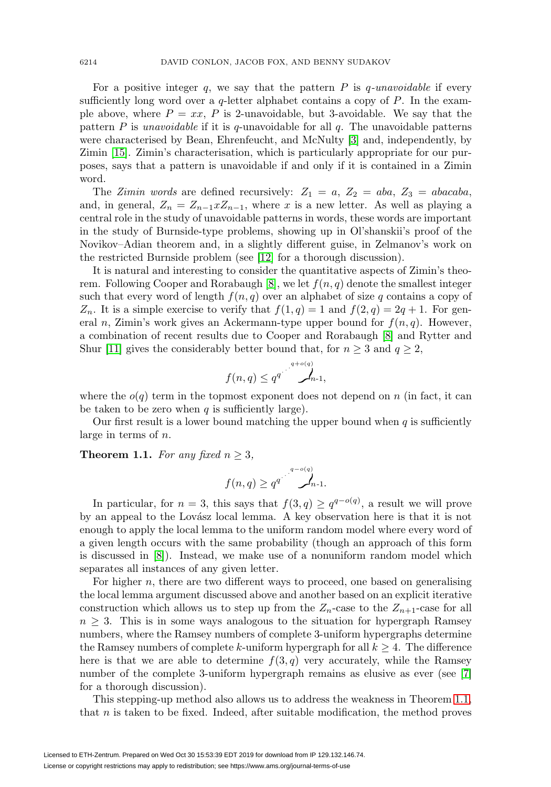For a positive integer q, we say that the pattern  $P$  is q-unavoidable if every sufficiently long word over a  $q$ -letter alphabet contains a copy of  $P$ . In the example above, where  $P = xx$ , P is 2-unavoidable, but 3-avoidable. We say that the pattern  $P$  is *unavoidable* if it is  $q$ -unavoidable for all  $q$ . The unavoidable patterns were characterised by Bean, Ehrenfeucht, and McNulty [\[3\]](#page-16-5) and, independently, by Zimin [\[15\]](#page-16-6). Zimin's characterisation, which is particularly appropriate for our purposes, says that a pattern is unavoidable if and only if it is contained in a Zimin word.

The Zimin words are defined recursively:  $Z_1 = a, Z_2 = aba, Z_3 = abacaba,$ and, in general,  $Z_n = Z_{n-1} x Z_{n-1}$ , where x is a new letter. As well as playing a central role in the study of unavoidable patterns in words, these words are important in the study of Burnside-type problems, showing up in Ol'shanskii's proof of the Novikov–Adian theorem and, in a slightly different guise, in Zelmanov's work on the restricted Burnside problem (see [\[12\]](#page-16-7) for a thorough discussion).

It is natural and interesting to consider the quantitative aspects of Zimin's theo-rem. Following Cooper and Rorabaugh [\[8\]](#page-16-8), we let  $f(n, q)$  denote the smallest integer such that every word of length  $f(n, q)$  over an alphabet of size q contains a copy of  $Z_n$ . It is a simple exercise to verify that  $f(1,q) = 1$  and  $f(2,q) = 2q + 1$ . For general n, Zimin's work gives an Ackermann-type upper bound for  $f(n, q)$ . However, a combination of recent results due to Cooper and Rorabaugh [\[8\]](#page-16-8) and Rytter and Shur [\[11\]](#page-16-9) gives the considerably better bound that, for  $n \geq 3$  and  $q \geq 2$ ,

$$
f(n,q) \leq q^{q^{(1-\alpha q)} \cdot \alpha}
$$

where the  $o(q)$  term in the topmost exponent does not depend on n (in fact, it can be taken to be zero when  $q$  is sufficiently large).

Our first result is a lower bound matching the upper bound when  $q$  is sufficiently large in terms of n.

<span id="page-1-0"></span>**Theorem 1.1.** For any fixed  $n \geq 3$ ,

$$
f(n,q) \geq q^{q^{(1-\alpha/q)}}.
$$

In particular, for  $n = 3$ , this says that  $f(3, q) \geq q^{q - o(q)}$ , a result we will prove by an appeal to the Lovász local lemma. A key observation here is that it is not enough to apply the local lemma to the uniform random model where every word of a given length occurs with the same probability (though an approach of this form is discussed in [\[8\]](#page-16-8)). Instead, we make use of a nonuniform random model which separates all instances of any given letter.

For higher n, there are two different ways to proceed, one based on generalising the local lemma argument discussed above and another based on an explicit iterative construction which allows us to step up from the  $Z_n$ -case to the  $Z_{n+1}$ -case for all  $n \geq 3$ . This is in some ways analogous to the situation for hypergraph Ramsey numbers, where the Ramsey numbers of complete 3-uniform hypergraphs determine the Ramsey numbers of complete k-uniform hypergraph for all  $k \geq 4$ . The difference here is that we are able to determine  $f(3, q)$  very accurately, while the Ramsey number of the complete 3-uniform hypergraph remains as elusive as ever (see [\[7\]](#page-16-10) for a thorough discussion).

This stepping-up method also allows us to address the weakness in Theorem [1.1,](#page-1-0) that  $n$  is taken to be fixed. Indeed, after suitable modification, the method proves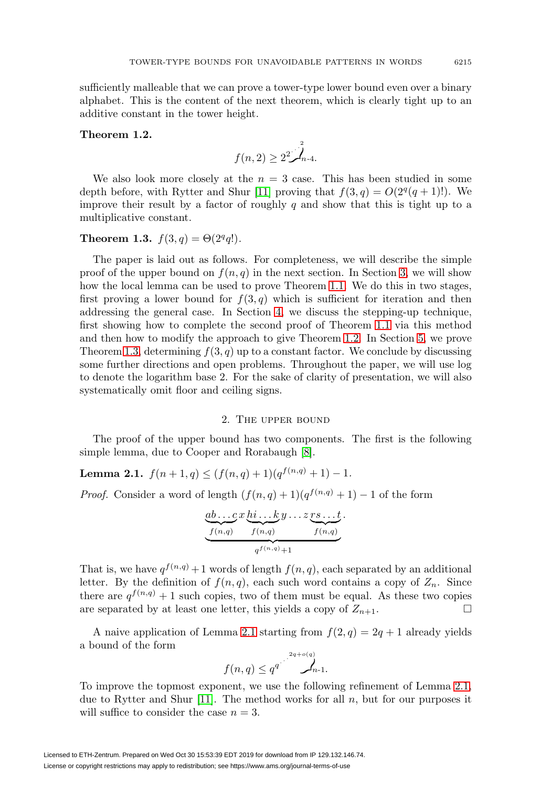sufficiently malleable that we can prove a tower-type lower bound even over a binary alphabet. This is the content of the next theorem, which is clearly tight up to an additive constant in the tower height.

## <span id="page-2-0"></span>**Theorem 1.2.**

$$
f(n,2) \geq 2^2 \int_{n-4}^2
$$

We also look more closely at the  $n = 3$  case. This has been studied in some depth before, with Rytter and Shur [\[11\]](#page-16-9) proving that  $f(3, q) = O(2^q(q + 1)!)$ . We improve their result by a factor of roughly  $q$  and show that this is tight up to a multiplicative constant.

## <span id="page-2-1"></span>**Theorem 1.3.**  $f(3,q) = \Theta(2^q q!)$ .

The paper is laid out as follows. For completeness, we will describe the simple proof of the upper bound on  $f(n, q)$  in the next section. In Section [3,](#page-4-0) we will show how the local lemma can be used to prove Theorem [1.1.](#page-1-0) We do this in two stages, first proving a lower bound for  $f(3, q)$  which is sufficient for iteration and then addressing the general case. In Section [4,](#page-7-0) we discuss the stepping-up technique, first showing how to complete the second proof of Theorem [1.1](#page-1-0) via this method and then how to modify the approach to give Theorem [1.2.](#page-2-0) In Section [5,](#page-11-0) we prove Theorem [1.3,](#page-2-1) determining  $f(3, q)$  up to a constant factor. We conclude by discussing some further directions and open problems. Throughout the paper, we will use log to denote the logarithm base 2. For the sake of clarity of presentation, we will also systematically omit floor and ceiling signs.

#### 2. The upper bound

The proof of the upper bound has two components. The first is the following simple lemma, due to Cooper and Rorabaugh [\[8\]](#page-16-8).

<span id="page-2-2"></span>**Lemma 2.1.**  $f(n+1,q) \leq (f(n,q)+1)(q^{f(n,q)}+1) - 1.$ 

*Proof.* Consider a word of length  $(f(n,q) + 1)(q^{f(n,q)} + 1) - 1$  of the form

$$
\underbrace{ab\ldots c}_{f(n,q)} x \underbrace{hi\ldots ky}_{f(n,q)} \ldots z \underbrace{rs\ldots t}_{f(n,q)}.
$$

That is, we have  $q^{f(n,q)} + 1$  words of length  $f(n,q)$ , each separated by an additional letter. By the definition of  $f(n, q)$ , each such word contains a copy of  $Z_n$ . Since there are  $q^{f(n,q)} + 1$  such copies, two of them must be equal. As these two copies are separated by at least one letter, this yields a copy of  $Z_{n+1}$ .

A naive application of Lemma [2.1](#page-2-2) starting from  $f(2,q)=2q+1$  already yields a bound of the form

$$
f(n,q) \leq q^{q} \sum_{n=1}^{2q+o(q)} f_{n-1}
$$

To improve the topmost exponent, we use the following refinement of Lemma [2.1,](#page-2-2) due to Rytter and Shur [\[11\]](#page-16-9). The method works for all  $n$ , but for our purposes it will suffice to consider the case  $n = 3$ .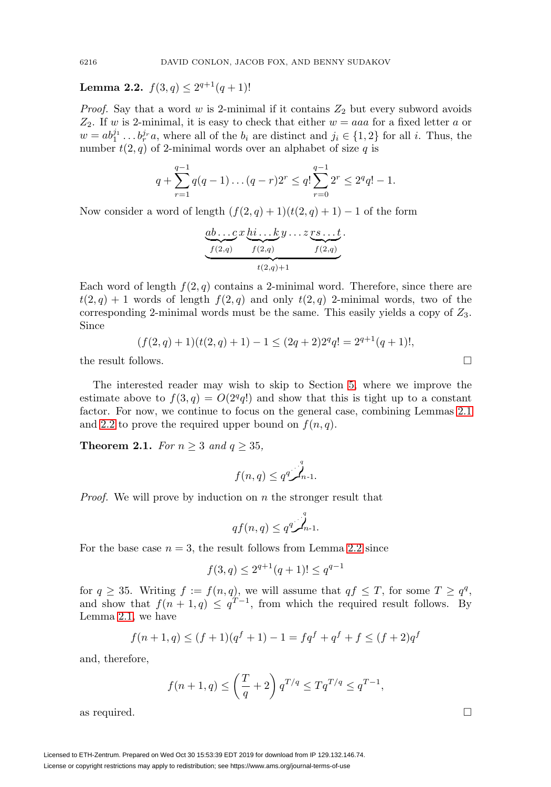<span id="page-3-0"></span>**Lemma 2.2.**  $f(3,q) \leq 2^{q+1}(q+1)!$ 

*Proof.* Say that a word  $w$  is 2-minimal if it contains  $Z_2$  but every subword avoids  $Z_2$ . If w is 2-minimal, it is easy to check that either  $w = aaa$  for a fixed letter a or  $w = ab_1^{j_1} \dots b_r^{j_r} a$ , where all of the  $b_i$  are distinct and  $j_i \in \{1,2\}$  for all i. Thus, the number  $t(2, q)$  of 2-minimal words over an alphabet of size q is

$$
q + \sum_{r=1}^{q-1} q(q-1)\dots(q-r)2^r \le q! \sum_{r=0}^{q-1} 2^r \le 2^q q! - 1.
$$

Now consider a word of length  $(f(2,q) + 1)(t(2,q) + 1) - 1$  of the form

$$
\underbrace{ab\ldots c}_{f(2,q)} x \underbrace{hi\ldots ky}_{f(2,q)} \ldots z \underbrace{rs\ldots t}_{f(2,q)}.
$$

Each word of length  $f(2, q)$  contains a 2-minimal word. Therefore, since there are  $t(2,q) + 1$  words of length  $f(2,q)$  and only  $t(2,q)$  2-minimal words, two of the corresponding 2-minimal words must be the same. This easily yields a copy of  $Z_3$ . Since

$$
(f(2,q) + 1)(t(2,q) + 1) - 1 \le (2q + 2)2^{q}q! = 2^{q+1}(q+1)!,
$$
 the result follows.

The interested reader may wish to skip to Section [5,](#page-11-0) where we improve the estimate above to  $f(3, q) = O(2^q q!)$  and show that this is tight up to a constant factor. For now, we continue to focus on the general case, combining Lemmas [2.1](#page-2-2) and [2.2](#page-3-0) to prove the required upper bound on  $f(n, q)$ .

**Theorem 2.1.** For  $n \geq 3$  and  $q \geq 35$ ,

$$
f(n,q) \leq q^q \mathcal{L}_{n-1}^q.
$$

*Proof.* We will prove by induction on  $n$  the stronger result that

$$
qf(n,q) \le q^q \int_{n-1}^q
$$

For the base case  $n = 3$ , the result follows from Lemma [2.2](#page-3-0) since

$$
f(3,q) \le 2^{q+1}(q+1)! \le q^{q-1}
$$

for  $q \geq 35$ . Writing  $f := f(n, q)$ , we will assume that  $qf \leq T$ , for some  $T \geq q^q$ , and show that  $f(n+1,q) \leq q^{T-1}$ , from which the required result follows. By Lemma [2.1,](#page-2-2) we have

$$
f(n+1,q) \le (f+1)(q^f+1) - 1 = f q^f + q^f + f \le (f+2)q^f
$$

and, therefore,

$$
f(n+1,q) \leq \left(\frac{T}{q} + 2\right) q^{T/q} \leq Tq^{T/q} \leq q^{T-1},
$$

as required.  $\Box$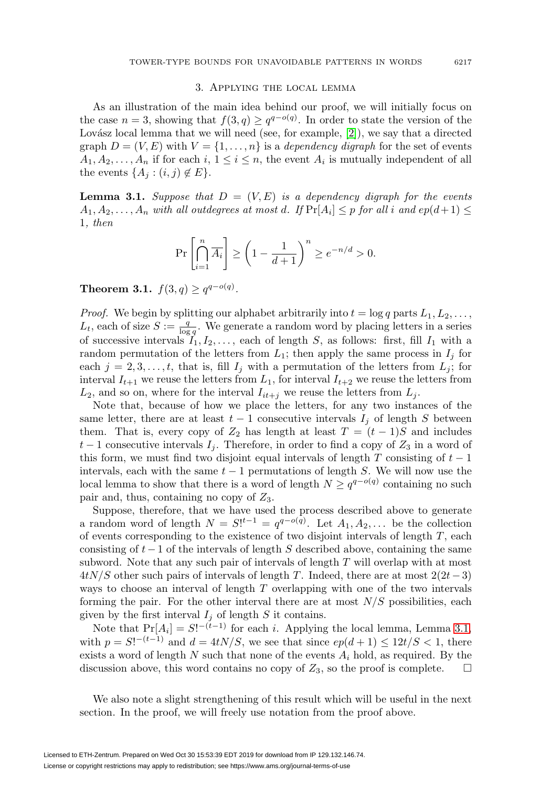## 3. Applying the local lemma

<span id="page-4-0"></span>As an illustration of the main idea behind our proof, we will initially focus on the case  $n = 3$ , showing that  $f(3, q) \geq q^{q - o(q)}$ . In order to state the version of the Lovász local lemma that we will need (see, for example,  $[2]$ ), we say that a directed graph  $D = (V, E)$  with  $V = \{1, \ldots, n\}$  is a *dependency digraph* for the set of events  $A_1, A_2, \ldots, A_n$  if for each i,  $1 \leq i \leq n$ , the event  $A_i$  is mutually independent of all the events  $\{A_j : (i,j) \notin E\}.$ 

<span id="page-4-1"></span>**Lemma 3.1.** Suppose that  $D = (V, E)$  is a dependency digraph for the events  $A_1, A_2, \ldots, A_n$  with all outdegrees at most d. If  $Pr[A_i] \leq p$  for all i and  $ep(d+1) \leq$ 1, then

$$
\Pr\left[\bigcap_{i=1}^{n} \overline{A_i}\right] \ge \left(1 - \frac{1}{d+1}\right)^n \ge e^{-n/d} > 0.
$$

<span id="page-4-2"></span>**Theorem 3.1.**  $f(3,q) \geq q^{q-o(q)}$ .

*Proof.* We begin by splitting our alphabet arbitrarily into  $t = \log q$  parts  $L_1, L_2, \ldots$ ,  $L_t$ , each of size  $S := \frac{q}{\log q}$ . We generate a random word by placing letters in a series of successive intervals  $I_1, I_2, \ldots$ , each of length S, as follows: first, fill  $I_1$  with a random permutation of the letters from  $L_1$ ; then apply the same process in  $I_j$  for each  $j = 2, 3, \ldots, t$ , that is, fill  $I_j$  with a permutation of the letters from  $L_j$ ; for interval  $I_{t+1}$  we reuse the letters from  $L_1$ , for interval  $I_{t+2}$  we reuse the letters from  $L_2$ , and so on, where for the interval  $I_{it+j}$  we reuse the letters from  $L_j$ .

Note that, because of how we place the letters, for any two instances of the same letter, there are at least  $t-1$  consecutive intervals  $I_j$  of length S between them. That is, every copy of  $Z_2$  has length at least  $T = (t - 1)S$  and includes  $t-1$  consecutive intervals  $I_j$ . Therefore, in order to find a copy of  $Z_3$  in a word of this form, we must find two disjoint equal intervals of length T consisting of  $t-1$ intervals, each with the same  $t - 1$  permutations of length S. We will now use the local lemma to show that there is a word of length  $N \geq q^{q-o(q)}$  containing no such pair and, thus, containing no copy of  $Z_3$ .

Suppose, therefore, that we have used the process described above to generate a random word of length  $N = S!^{t-1} = q^{q-o(q)}$ . Let  $A_1, A_2, \ldots$  be the collection of events corresponding to the existence of two disjoint intervals of length  $T$ , each consisting of  $t-1$  of the intervals of length S described above, containing the same subword. Note that any such pair of intervals of length  $T$  will overlap with at most  $4tN/S$  other such pairs of intervals of length T. Indeed, there are at most  $2(2t-3)$ ways to choose an interval of length T overlapping with one of the two intervals forming the pair. For the other interval there are at most  $N/S$  possibilities, each given by the first interval  $I_j$  of length S it contains.

Note that  $Pr[A_i] = S!^{-(t-1)}$  for each *i*. Applying the local lemma, Lemma [3.1,](#page-4-1) with  $p = S!^{-(t-1)}$  and  $d = 4tN/S$ , we see that since  $ep(d+1) \leq 12t/S < 1$ , there exists a word of length N such that none of the events  $A_i$  hold, as required. By the discussion above, this word contains no copy of  $Z_3$ , so the proof is complete.  $\Box$ 

We also note a slight strengthening of this result which will be useful in the next section. In the proof, we will freely use notation from the proof above.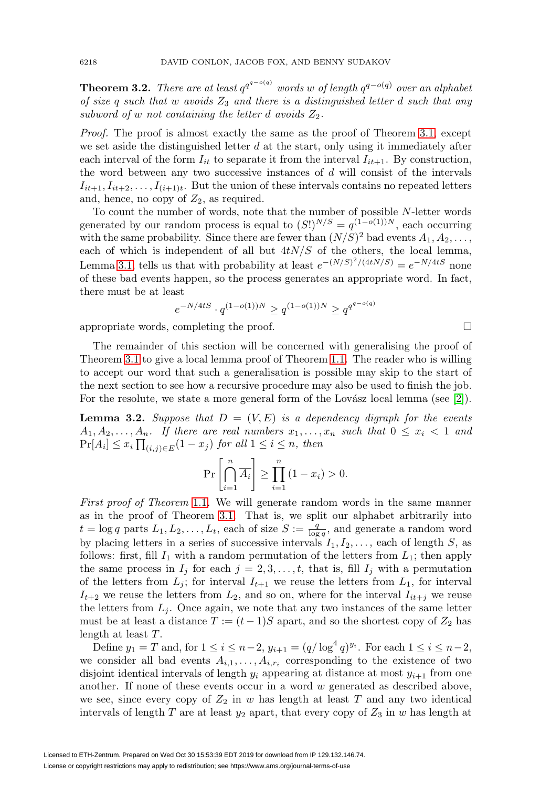<span id="page-5-0"></span>**Theorem 3.2.** There are at least  $q^{q^{-o(q)}}$  words w of length  $q^{q-o(q)}$  over an alphabet of size q such that w avoids  $Z_3$  and there is a distinguished letter d such that any subword of w not containing the letter d avoids  $Z_2$ .

Proof. The proof is almost exactly the same as the proof of Theorem [3.1,](#page-4-2) except we set aside the distinguished letter  $d$  at the start, only using it immediately after each interval of the form  $I_{it}$  to separate it from the interval  $I_{it+1}$ . By construction, the word between any two successive instances of d will consist of the intervals  $I_{it+1}, I_{it+2},\ldots,I_{(i+1)t}$ . But the union of these intervals contains no repeated letters and, hence, no copy of  $Z_2$ , as required.

To count the number of words, note that the number of possible N-letter words generated by our random process is equal to  $(S!)^{N/S} = q^{(1-o(1))N}$ , each occurring with the same probability. Since there are fewer than  $(N/S)^2$  bad events  $A_1, A_2, \ldots$ , each of which is independent of all but  $4tN/S$  of the others, the local lemma, Lemma [3.1,](#page-4-1) tells us that with probability at least  $e^{-(N/S)^2/(4tN/S)} = e^{-N/4tS}$  none of these bad events happen, so the process generates an appropriate word. In fact, there must be at least

$$
e^{-N/4tS} \cdot q^{(1 - o(1))N} \ge q^{(1 - o(1))N} \ge q^{q^{q - o(q)}}
$$

appropriate words, completing the proof.  $\Box$ 

The remainder of this section will be concerned with generalising the proof of Theorem [3.1](#page-4-2) to give a local lemma proof of Theorem [1.1.](#page-1-0) The reader who is willing to accept our word that such a generalisation is possible may skip to the start of the next section to see how a recursive procedure may also be used to finish the job. For the resolute, we state a more general form of the Lovász local lemma (see  $[2]$ ).

**Lemma 3.2.** Suppose that  $D = (V, E)$  is a dependency digraph for the events  $A_1, A_2, \ldots, A_n$ . If there are real numbers  $x_1, \ldots, x_n$  such that  $0 \le x_i < 1$  and  $Pr[A_i] \leq x_i \prod_{(i,j) \in E} (1 - x_j)$  for all  $1 \leq i \leq n$ , then

$$
\Pr\left[\bigcap_{i=1}^{n} \overline{A_i}\right] \ge \prod_{i=1}^{n} (1 - x_i) > 0.
$$

First proof of Theorem [1.1](#page-1-0). We will generate random words in the same manner as in the proof of Theorem [3.1.](#page-4-2) That is, we split our alphabet arbitrarily into  $t = \log q$  parts  $L_1, L_2, \ldots, L_t$ , each of size  $S := \frac{q}{\log q}$ , and generate a random word by placing letters in a series of successive intervals  $I_1, I_2, \ldots$ , each of length S, as follows: first, fill  $I_1$  with a random permutation of the letters from  $L_1$ ; then apply the same process in  $I_j$  for each  $j = 2, 3, \ldots, t$ , that is, fill  $I_j$  with a permutation of the letters from  $L_j$ ; for interval  $I_{t+1}$  we reuse the letters from  $L_1$ , for interval  $I_{t+2}$  we reuse the letters from  $L_2$ , and so on, where for the interval  $I_{it+j}$  we reuse the letters from  $L_j$ . Once again, we note that any two instances of the same letter must be at least a distance  $T := (t-1)S$  apart, and so the shortest copy of  $Z_2$  has length at least T.

Define  $y_1 = T$  and, for  $1 \le i \le n-2$ ,  $y_{i+1} = (q/\log^4 q)^{y_i}$ . For each  $1 \le i \le n-2$ , we consider all bad events  $A_{i,1},\ldots,A_{i,r_i}$  corresponding to the existence of two disjoint identical intervals of length  $y_i$  appearing at distance at most  $y_{i+1}$  from one another. If none of these events occur in a word  $w$  generated as described above, we see, since every copy of  $Z_2$  in w has length at least T and any two identical intervals of length T are at least  $y_2$  apart, that every copy of  $Z_3$  in w has length at

$$
\overline{a}
$$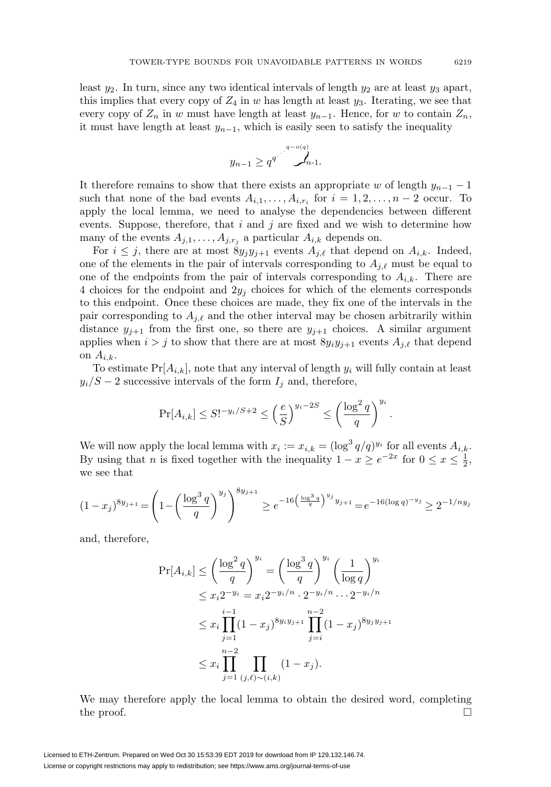least  $y_2$ . In turn, since any two identical intervals of length  $y_2$  are at least  $y_3$  apart, this implies that every copy of  $Z_4$  in w has length at least  $y_3$ . Iterating, we see that every copy of  $Z_n$  in w must have length at least  $y_{n-1}$ . Hence, for w to contain  $Z_n$ , it must have length at least  $y_{n-1}$ , which is easily seen to satisfy the inequality

$$
y_{n-1} \ge q^{q^{j}} \int_{n-1}^{q-o(q)}
$$

It therefore remains to show that there exists an appropriate w of length  $y_{n-1} - 1$ such that none of the bad events  $A_{i,1},\ldots,A_{i,r_i}$  for  $i=1,2,\ldots,n-2$  occur. To apply the local lemma, we need to analyse the dependencies between different events. Suppose, therefore, that  $i$  and  $j$  are fixed and we wish to determine how many of the events  $A_{j,1},\ldots,A_{j,r_j}$  a particular  $A_{i,k}$  depends on.

For  $i \leq j$ , there are at most  $8y_jy_{j+1}$  events  $A_{j,\ell}$  that depend on  $A_{i,k}$ . Indeed, one of the elements in the pair of intervals corresponding to  $A_{j,\ell}$  must be equal to one of the endpoints from the pair of intervals corresponding to  $A_{i,k}$ . There are 4 choices for the endpoint and  $2y_i$  choices for which of the elements corresponds to this endpoint. Once these choices are made, they fix one of the intervals in the pair corresponding to  $A_{j,\ell}$  and the other interval may be chosen arbitrarily within distance  $y_{j+1}$  from the first one, so there are  $y_{j+1}$  choices. A similar argument applies when  $i > j$  to show that there are at most  $8y_iy_{j+1}$  events  $A_{j,\ell}$  that depend on  $A_{i,k}$ .

To estimate  $Pr[A_{i,k}]$ , note that any interval of length  $y_i$  will fully contain at least  $y_i/S - 2$  successive intervals of the form  $I_i$  and, therefore,

$$
\Pr[A_{i,k}] \le S!^{-y_i/S+2} \le \left(\frac{e}{S}\right)^{y_i-2S} \le \left(\frac{\log^2 q}{q}\right)^{y_i}.
$$

We will now apply the local lemma with  $x_i := x_{i,k} = (\log^3 q/q)^{y_i}$  for all events  $A_{i,k}$ . By using that *n* is fixed together with the inequality  $1 - x \ge e^{-2x}$  for  $0 \le x \le \frac{1}{2}$ , we see that

$$
(1-x_j)^{8y_{j+1}} = \left(1 - \left(\frac{\log^3 q}{q}\right)^{y_j}\right)^{8y_{j+1}} \ge e^{-16\left(\frac{\log^3 q}{q}\right)^{y_j}y_{j+1}} = e^{-16(\log q)^{-y_j}} \ge 2^{-1/ny_j}
$$

and, therefore,

$$
\Pr[A_{i,k}] \le \left(\frac{\log^2 q}{q}\right)^{y_i} = \left(\frac{\log^3 q}{q}\right)^{y_i} \left(\frac{1}{\log q}\right)^{y_i}
$$
  
\n
$$
\le x_i 2^{-y_i} = x_i 2^{-y_i/n} \cdot 2^{-y_i/n} \cdots 2^{-y_i/n}
$$
  
\n
$$
\le x_i \prod_{j=1}^{i-1} (1-x_j)^{8y_i y_{j+1}} \prod_{j=i}^{n-2} (1-x_j)^{8y_j y_{j+1}}
$$
  
\n
$$
\le x_i \prod_{j=1}^{n-2} \prod_{(j,\ell) \sim (i,k)} (1-x_j).
$$

We may therefore apply the local lemma to obtain the desired word, completing the proof.  $\Box$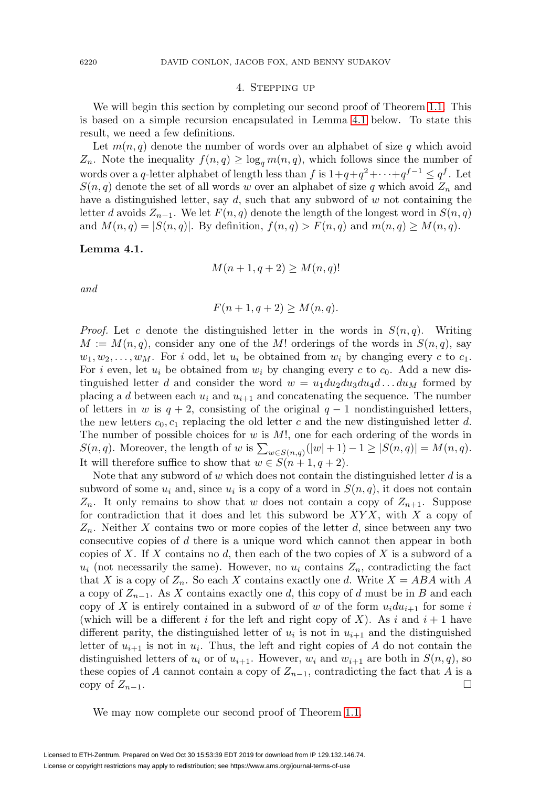## 4. Stepping up

<span id="page-7-0"></span>We will begin this section by completing our second proof of Theorem [1.1.](#page-1-0) This is based on a simple recursion encapsulated in Lemma [4.1](#page-7-1) below. To state this result, we need a few definitions.

Let  $m(n, q)$  denote the number of words over an alphabet of size q which avoid  $Z_n$ . Note the inequality  $f(n,q) \ge \log_q m(n,q)$ , which follows since the number of words over a q-letter alphabet of length less than f is  $1+q+q^2+\cdots+q^{f-1} \leq q^f$ . Let  $S(n, q)$  denote the set of all words w over an alphabet of size q which avoid  $Z_n$  and have a distinguished letter, say  $d$ , such that any subword of  $w$  not containing the letter d avoids  $Z_{n-1}$ . We let  $F(n, q)$  denote the length of the longest word in  $S(n, q)$ and  $M(n,q) = |S(n,q)|$ . By definition,  $f(n,q) > F(n,q)$  and  $m(n,q) \geq M(n,q)$ .

<span id="page-7-1"></span>**Lemma 4.1.**

$$
M(n+1, q+2) \ge M(n,q)!
$$

and

$$
F(n+1, q+2) \ge M(n,q).
$$

*Proof.* Let c denote the distinguished letter in the words in  $S(n, q)$ . Writing  $M := M(n,q)$ , consider any one of the M! orderings of the words in  $S(n,q)$ , say  $w_1, w_2, \ldots, w_M$ . For i odd, let  $u_i$  be obtained from  $w_i$  by changing every c to  $c_1$ . For i even, let  $u_i$  be obtained from  $w_i$  by changing every c to  $c_0$ . Add a new distinguished letter d and consider the word  $w = u_1 du_2 du_3 du_4 d \dots du_M$  formed by placing a d between each  $u_i$  and  $u_{i+1}$  and concatenating the sequence. The number of letters in w is  $q + 2$ , consisting of the original  $q - 1$  nondistinguished letters, the new letters  $c_0, c_1$  replacing the old letter c and the new distinguished letter d. The number of possible choices for  $w$  is  $M!$ , one for each ordering of the words in  $S(n,q)$ . Moreover, the length of w is  $\sum_{w \in S(n,q)}(|w|+1) - 1 \geq |S(n,q)| = M(n,q)$ . It will therefore suffice to show that  $w \in S(n+1, q+2)$ .

Note that any subword of  $w$  which does not contain the distinguished letter  $d$  is a subword of some  $u_i$  and, since  $u_i$  is a copy of a word in  $S(n, q)$ , it does not contain  $Z_n$ . It only remains to show that w does not contain a copy of  $Z_{n+1}$ . Suppose for contradiction that it does and let this subword be  $XYX$ , with X a copy of  $Z_n$ . Neither X contains two or more copies of the letter d, since between any two consecutive copies of d there is a unique word which cannot then appear in both copies of X. If X contains no d, then each of the two copies of X is a subword of a  $u_i$  (not necessarily the same). However, no  $u_i$  contains  $Z_n$ , contradicting the fact that X is a copy of  $Z_n$ . So each X contains exactly one d. Write  $X = ABA$  with A a copy of  $Z_{n-1}$ . As X contains exactly one d, this copy of d must be in B and each copy of X is entirely contained in a subword of w of the form  $u_i du_{i+1}$  for some i (which will be a different i for the left and right copy of X). As i and  $i + 1$  have different parity, the distinguished letter of  $u_i$  is not in  $u_{i+1}$  and the distinguished letter of  $u_{i+1}$  is not in  $u_i$ . Thus, the left and right copies of A do not contain the distinguished letters of  $u_i$  or of  $u_{i+1}$ . However,  $w_i$  and  $w_{i+1}$  are both in  $S(n, q)$ , so these copies of A cannot contain a copy of  $Z_{n-1}$ , contradicting the fact that A is a copy of  $Z_{n-1}$ .  $\Box$ 

We may now complete our second proof of Theorem [1.1.](#page-1-0)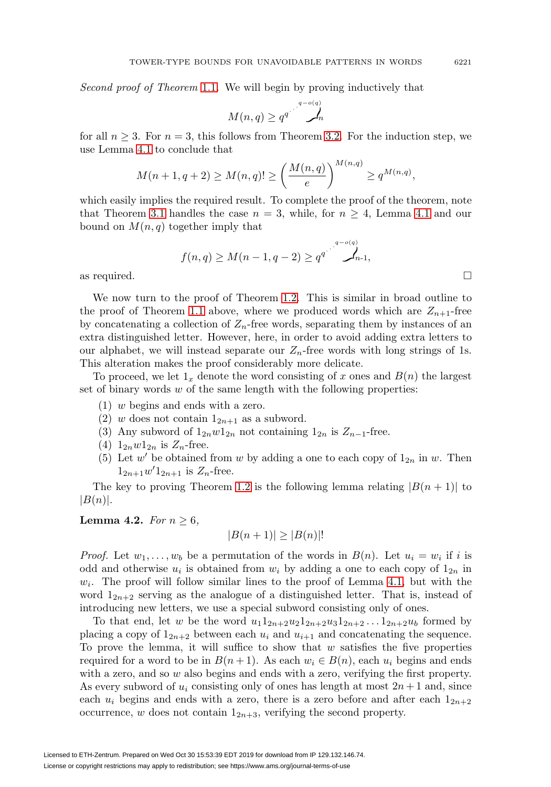Second proof of Theorem [1.1](#page-1-0). We will begin by proving inductively that

$$
M(n,q) \geq q^{q} \int_{n}^{q - o(q)}
$$

for all  $n \geq 3$ . For  $n = 3$ , this follows from Theorem [3.2.](#page-5-0) For the induction step, we use Lemma [4.1](#page-7-1) to conclude that

$$
M(n + 1, q + 2) \ge M(n, q)! \ge \left(\frac{M(n, q)}{e}\right)^{M(n, q)} \ge q^{M(n, q)},
$$

which easily implies the required result. To complete the proof of the theorem, note that Theorem [3.1](#page-4-2) handles the case  $n = 3$ , while, for  $n \geq 4$ , Lemma [4.1](#page-7-1) and our bound on  $M(n, q)$  together imply that

$$
f(n,q) \geq M(n-1,q-2) \geq q^{q^{n-2} \sum_{n=1}^{q-2} n}.
$$

as required.

We now turn to the proof of Theorem [1.2.](#page-2-0) This is similar in broad outline to the proof of Theorem [1.1](#page-1-0) above, where we produced words which are  $Z_{n+1}$ -free by concatenating a collection of  $Z_n$ -free words, separating them by instances of an extra distinguished letter. However, here, in order to avoid adding extra letters to our alphabet, we will instead separate our  $Z_n$ -free words with long strings of 1s. This alteration makes the proof considerably more delicate.

To proceed, we let  $1_x$  denote the word consisting of x ones and  $B(n)$  the largest set of binary words  $w$  of the same length with the following properties:

- (1) w begins and ends with a zero.
- (2) w does not contain  $1_{2n+1}$  as a subword.
- (3) Any subword of  $1_{2n}w1_{2n}$  not containing  $1_{2n}$  is  $Z_{n-1}$ -free.
- (4)  $1_{2n}w1_{2n}$  is  $Z_n$ -free.
- (5) Let  $w'$  be obtained from w by adding a one to each copy of  $1_{2n}$  in w. Then  $1_{2n+1}w'1_{2n+1}$  is  $Z_n$ -free.

The key to proving Theorem [1.2](#page-2-0) is the following lemma relating  $|B(n + 1)|$  to  $|B(n)|$ .

## <span id="page-8-0"></span>**Lemma 4.2.** For  $n \geq 6$ ,

$$
|B(n+1)| \ge |B(n)|!
$$

*Proof.* Let  $w_1, \ldots, w_b$  be a permutation of the words in  $B(n)$ . Let  $u_i = w_i$  if i is odd and otherwise  $u_i$  is obtained from  $w_i$  by adding a one to each copy of  $1_{2n}$  in  $w_i$ . The proof will follow similar lines to the proof of Lemma [4.1,](#page-7-1) but with the word  $1_{2n+2}$  serving as the analogue of a distinguished letter. That is, instead of introducing new letters, we use a special subword consisting only of ones.

To that end, let w be the word  $u_1 1_{2n+2}u_2 1_{2n+2}u_3 1_{2n+2}... 1_{2n+2}u_b$  formed by placing a copy of  $1_{2n+2}$  between each  $u_i$  and  $u_{i+1}$  and concatenating the sequence. To prove the lemma, it will suffice to show that  $w$  satisfies the five properties required for a word to be in  $B(n+1)$ . As each  $w_i \in B(n)$ , each  $u_i$  begins and ends with a zero, and so  $w$  also begins and ends with a zero, verifying the first property. As every subword of  $u_i$  consisting only of ones has length at most  $2n + 1$  and, since each  $u_i$  begins and ends with a zero, there is a zero before and after each  $1_{2n+2}$ occurrence, w does not contain  $1_{2n+3}$ , verifying the second property.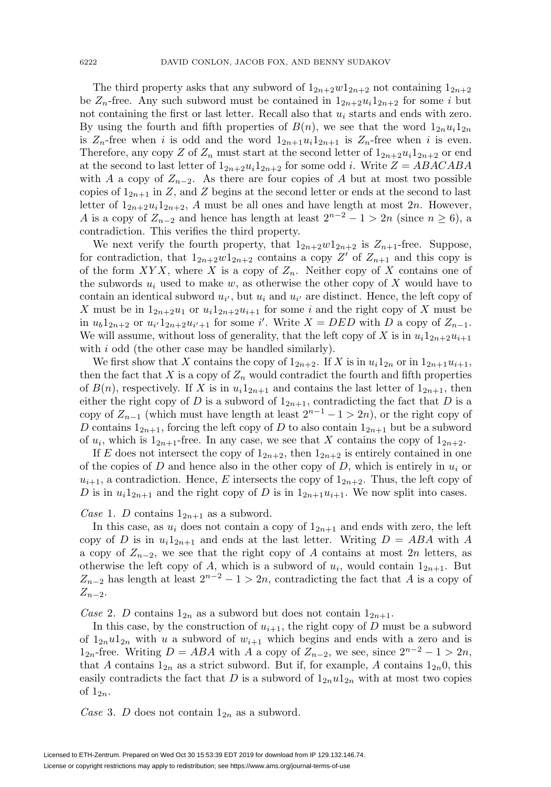The third property asks that any subword of  $1_{2n+2}w1_{2n+2}$  not containing  $1_{2n+2}$ be  $Z_n$ -free. Any such subword must be contained in  $1_{2n+2}u_i1_{2n+2}$  for some i but not containing the first or last letter. Recall also that  $u_i$  starts and ends with zero. By using the fourth and fifth properties of  $B(n)$ , we see that the word  $1_{2n}u_11_{2n}$ is  $Z_n$ -free when i is odd and the word  $1_{2n+1}u_i1_{2n+1}$  is  $Z_n$ -free when i is even. Therefore, any copy Z of  $Z_n$  must start at the second letter of  $1_{2n+2}u_i1_{2n+2}$  or end at the second to last letter of  $1_{2n+2}u_11_{2n+2}$  for some odd i. Write  $Z = ABACABA$ with A a copy of  $Z_{n-2}$ . As there are four copies of A but at most two possible copies of  $1_{2n+1}$  in Z, and Z begins at the second letter or ends at the second to last letter of  $1_{2n+2}u_11_{2n+2}$ , A must be all ones and have length at most  $2n$ . However, A is a copy of  $Z_{n-2}$  and hence has length at least  $2^{n-2} - 1 > 2n$  (since  $n \ge 6$ ), a contradiction. This verifies the third property.

We next verify the fourth property, that  $1_{2n+2}w1_{2n+2}$  is  $Z_{n+1}$ -free. Suppose, for contradiction, that  $1_{2n+2}w1_{2n+2}$  contains a copy Z' of  $Z_{n+1}$  and this copy is of the form  $XYX$ , where X is a copy of  $Z_n$ . Neither copy of X contains one of the subwords  $u_i$  used to make w, as otherwise the other copy of X would have to contain an identical subword  $u_{i'}$ , but  $u_i$  and  $u_{i'}$  are distinct. Hence, the left copy of X must be in  $1_{2n+2}u_1$  or  $u_i1_{2n+2}u_{i+1}$  for some i and the right copy of X must be in  $u_0 1_{2n+2}$  or  $u_{i'} 1_{2n+2} u_{i'+1}$  for some i'. Write  $X = DED$  with D a copy of  $Z_{n-1}$ . We will assume, without loss of generality, that the left copy of X is in  $u_i 1_{2n+2}u_{i+1}$ with i odd (the other case may be handled similarly).

We first show that X contains the copy of  $1_{2n+2}$ . If X is in  $u_i 1_{2n}$  or in  $1_{2n+1}u_{i+1}$ , then the fact that X is a copy of  $Z_n$  would contradict the fourth and fifth properties of  $B(n)$ , respectively. If X is in  $u_i1_{2n+1}$  and contains the last letter of  $1_{2n+1}$ , then either the right copy of D is a subword of  $1_{2n+1}$ , contradicting the fact that D is a copy of  $Z_{n-1}$  (which must have length at least  $2^{n-1} - 1 > 2n$ ), or the right copy of D contains  $1_{2n+1}$ , forcing the left copy of D to also contain  $1_{2n+1}$  but be a subword of  $u_i$ , which is  $1_{2n+1}$ -free. In any case, we see that X contains the copy of  $1_{2n+2}$ .

If E does not intersect the copy of  $1_{2n+2}$ , then  $1_{2n+2}$  is entirely contained in one of the copies of D and hence also in the other copy of D, which is entirely in  $u_i$  or  $u_{i+1}$ , a contradiction. Hence, E intersects the copy of  $1_{2n+2}$ . Thus, the left copy of D is in  $u_i 1_{2n+1}$  and the right copy of D is in  $1_{2n+1}u_{i+1}$ . We now split into cases.

Case 1. D contains  $1_{2n+1}$  as a subword.

In this case, as  $u_i$  does not contain a copy of  $1_{2n+1}$  and ends with zero, the left copy of D is in  $u_1 1_{2n+1}$  and ends at the last letter. Writing  $D = ABA$  with A a copy of  $Z_{n-2}$ , we see that the right copy of A contains at most 2n letters, as otherwise the left copy of A, which is a subword of  $u_i$ , would contain  $1_{2n+1}$ . But  $Z_{n-2}$  has length at least  $2^{n-2} - 1 > 2n$ , contradicting the fact that A is a copy of  $Z_{n-2}$ .

Case 2. D contains  $1_{2n}$  as a subword but does not contain  $1_{2n+1}$ .

In this case, by the construction of  $u_{i+1}$ , the right copy of D must be a subword of  $1_{2n}u1_{2n}$  with u a subword of  $w_{i+1}$  which begins and ends with a zero and is  $1_{2n}$ -free. Writing  $D = ABA$  with A a copy of  $Z_{n-2}$ , we see, since  $2^{n-2} - 1 > 2n$ , that A contains  $1_{2n}$  as a strict subword. But if, for example, A contains  $1_{2n}0$ , this easily contradicts the fact that D is a subword of  $1_{2n}u1_{2n}$  with at most two copies of  $1_{2n}$ .

Case 3. D does not contain  $1_{2n}$  as a subword.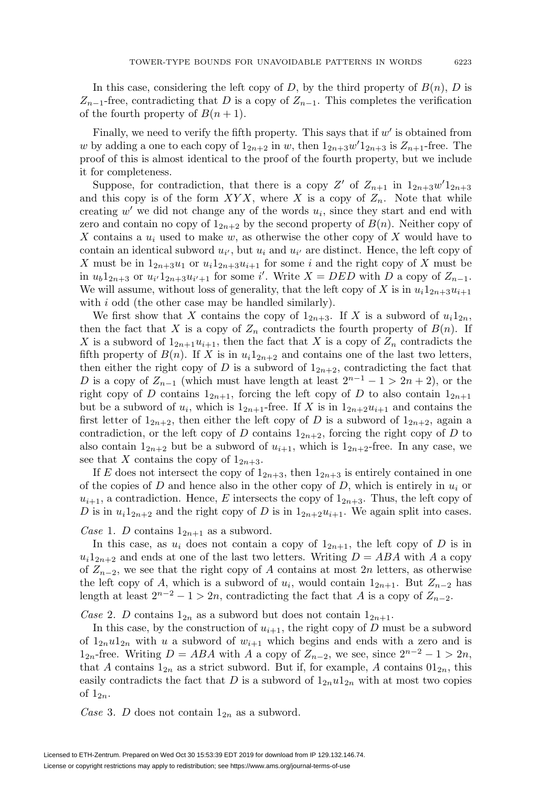In this case, considering the left copy of D, by the third property of  $B(n)$ , D is  $Z_{n-1}$ -free, contradicting that D is a copy of  $Z_{n-1}$ . This completes the verification of the fourth property of  $B(n+1)$ .

Finally, we need to verify the fifth property. This says that if  $w'$  is obtained from w by adding a one to each copy of  $1_{2n+2}$  in w, then  $1_{2n+3}w'1_{2n+3}$  is  $Z_{n+1}$ -free. The proof of this is almost identical to the proof of the fourth property, but we include it for completeness.

Suppose, for contradiction, that there is a copy Z' of  $Z_{n+1}$  in  $1_{2n+3}w'1_{2n+3}$ and this copy is of the form  $XYX$ , where X is a copy of  $Z_n$ . Note that while creating  $w'$  we did not change any of the words  $u_i$ , since they start and end with zero and contain no copy of  $1_{2n+2}$  by the second property of  $B(n)$ . Neither copy of X contains a  $u_i$  used to make w, as otherwise the other copy of X would have to contain an identical subword  $u_{i'}$ , but  $u_i$  and  $u_{i'}$  are distinct. Hence, the left copy of X must be in  $1_{2n+3}u_1$  or  $u_i1_{2n+3}u_{i+1}$  for some i and the right copy of X must be in  $u_b 1_{2n+3}$  or  $u_{i'} 1_{2n+3} u_{i'+1}$  for some i'. Write  $X = DED$  with D a copy of  $Z_{n-1}$ . We will assume, without loss of generality, that the left copy of X is in  $u_i 1_{2n+3}u_{i+1}$ with  $i$  odd (the other case may be handled similarly).

We first show that X contains the copy of  $1_{2n+3}$ . If X is a subword of  $u_i 1_{2n}$ , then the fact that X is a copy of  $Z_n$  contradicts the fourth property of  $B(n)$ . If X is a subword of  $1_{2n+1}u_{i+1}$ , then the fact that X is a copy of  $Z_n$  contradicts the fifth property of  $B(n)$ . If X is in  $u_1 1_{2n+2}$  and contains one of the last two letters, then either the right copy of D is a subword of  $1_{2n+2}$ , contradicting the fact that D is a copy of  $Z_{n-1}$  (which must have length at least  $2^{n-1} - 1 > 2n + 2$ ), or the right copy of D contains  $1_{2n+1}$ , forcing the left copy of D to also contain  $1_{2n+1}$ but be a subword of  $u_i$ , which is  $1_{2n+1}$ -free. If X is in  $1_{2n+2}u_{i+1}$  and contains the first letter of  $1_{2n+2}$ , then either the left copy of D is a subword of  $1_{2n+2}$ , again a contradiction, or the left copy of D contains  $1_{2n+2}$ , forcing the right copy of D to also contain  $1_{2n+2}$  but be a subword of  $u_{i+1}$ , which is  $1_{2n+2}$ -free. In any case, we see that X contains the copy of  $1_{2n+3}$ .

If E does not intersect the copy of  $1_{2n+3}$ , then  $1_{2n+3}$  is entirely contained in one of the copies of D and hence also in the other copy of D, which is entirely in  $u_i$  or  $u_{i+1}$ , a contradiction. Hence, E intersects the copy of  $1_{2n+3}$ . Thus, the left copy of D is in  $u_1 1_{2n+2}$  and the right copy of D is in  $1_{2n+2}u_{i+1}$ . We again split into cases.

Case 1. D contains  $1_{2n+1}$  as a subword.

In this case, as  $u_i$  does not contain a copy of  $1_{2n+1}$ , the left copy of D is in  $u_i1_{2n+2}$  and ends at one of the last two letters. Writing  $D = ABA$  with A a copy of  $Z_{n-2}$ , we see that the right copy of A contains at most 2n letters, as otherwise the left copy of A, which is a subword of  $u_i$ , would contain  $1_{2n+1}$ . But  $Z_{n-2}$  has length at least  $2^{n-2} - 1 > 2n$ , contradicting the fact that A is a copy of  $Z_{n-2}$ .

Case 2. D contains  $1_{2n}$  as a subword but does not contain  $1_{2n+1}$ .

In this case, by the construction of  $u_{i+1}$ , the right copy of D must be a subword of  $1_{2n}u1_{2n}$  with u a subword of  $w_{i+1}$  which begins and ends with a zero and is  $1_{2n}$ -free. Writing  $D = ABA$  with A a copy of  $Z_{n-2}$ , we see, since  $2^{n-2} - 1 > 2n$ , that A contains  $1_{2n}$  as a strict subword. But if, for example, A contains  $01_{2n}$ , this easily contradicts the fact that D is a subword of  $1_{2n}u1_{2n}$  with at most two copies of  $1_{2n}$ .

Case 3. D does not contain  $1_{2n}$  as a subword.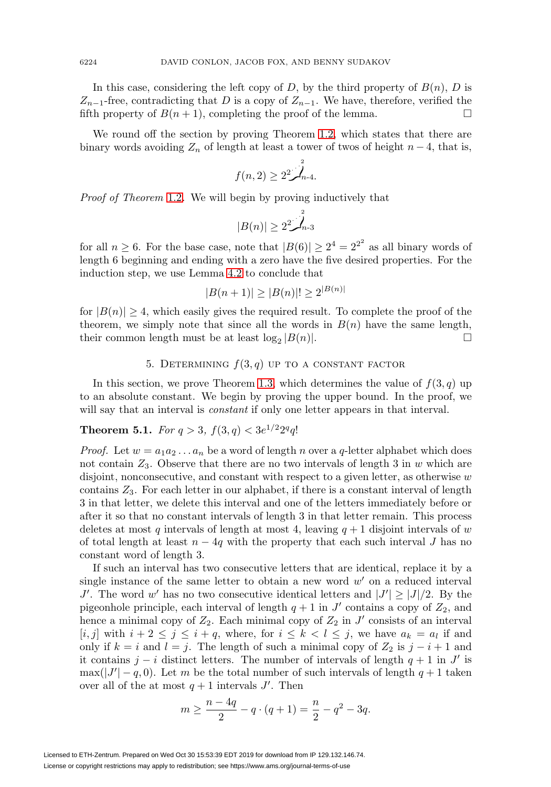In this case, considering the left copy of D, by the third property of  $B(n)$ , D is  $Z_{n-1}$ -free, contradicting that D is a copy of  $Z_{n-1}$ . We have, therefore, verified the fifth property of  $B(n + 1)$ , completing the proof of the lemma.  $\Box$ 

We round off the section by proving Theorem [1.2,](#page-2-0) which states that there are binary words avoiding  $Z_n$  of length at least a tower of twos of height  $n-4$ , that is,

$$
f(n,2) \geq 2^2 \int_{n-4}^2
$$

Proof of Theorem [1.2](#page-2-0). We will begin by proving inductively that

$$
|B(n)| \geq 2^2 \int_{n-3}^2
$$

for all  $n \geq 6$ . For the base case, note that  $|B(6)| \geq 2^4 = 2^{2^2}$  as all binary words of length 6 beginning and ending with a zero have the five desired properties. For the induction step, we use Lemma [4.2](#page-8-0) to conclude that

$$
|B(n+1)| \ge |B(n)|! \ge 2^{|B(n)|}
$$

for  $|B(n)| \geq 4$ , which easily gives the required result. To complete the proof of the theorem, we simply note that since all the words in  $B(n)$  have the same length, their common length must be at least  $log_2 |B(n)|$ .

## 5. DETERMINING  $f(3,q)$  UP TO A CONSTANT FACTOR

<span id="page-11-0"></span>In this section, we prove Theorem [1.3,](#page-2-1) which determines the value of  $f(3, q)$  up to an absolute constant. We begin by proving the upper bound. In the proof, we will say that an interval is constant if only one letter appears in that interval.

# **Theorem 5.1.** For  $q > 3$ ,  $f(3, q) < 3e^{1/2}2^qq!$

*Proof.* Let  $w = a_1 a_2 \ldots a_n$  be a word of length n over a q-letter alphabet which does not contain  $Z_3$ . Observe that there are no two intervals of length 3 in w which are disjoint, nonconsecutive, and constant with respect to a given letter, as otherwise  $w$ contains  $Z_3$ . For each letter in our alphabet, if there is a constant interval of length 3 in that letter, we delete this interval and one of the letters immediately before or after it so that no constant intervals of length 3 in that letter remain. This process deletes at most q intervals of length at most 4, leaving  $q + 1$  disjoint intervals of w of total length at least  $n - 4q$  with the property that each such interval J has no constant word of length 3.

If such an interval has two consecutive letters that are identical, replace it by a single instance of the same letter to obtain a new word  $w'$  on a reduced interval J'. The word w' has no two consecutive identical letters and  $|J'| \geq |J|/2$ . By the pigeonhole principle, each interval of length  $q + 1$  in J' contains a copy of  $Z_2$ , and hence a minimal copy of  $Z_2$ . Each minimal copy of  $Z_2$  in  $J'$  consists of an interval [i, j] with  $i + 2 \leq j \leq i + q$ , where, for  $i \leq k < l \leq j$ , we have  $a_k = a_l$  if and only if  $k = i$  and  $l = j$ . The length of such a minimal copy of  $Z_2$  is  $j - i + 1$  and it contains j – i distinct letters. The number of intervals of length  $q + 1$  in J' is  $\max(|J'|-q,0)$ . Let m be the total number of such intervals of length  $q+1$  taken over all of the at most  $q + 1$  intervals J'. Then

$$
m \ge \frac{n-4q}{2} - q \cdot (q+1) = \frac{n}{2} - q^2 - 3q.
$$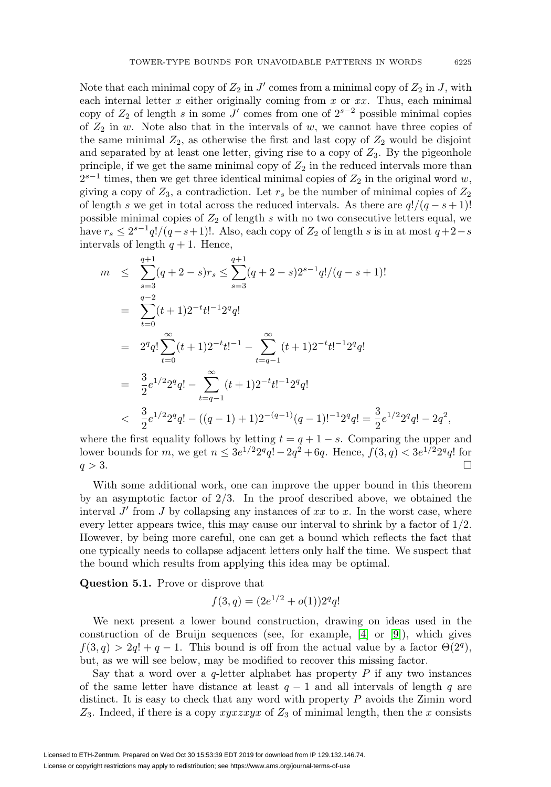Note that each minimal copy of  $Z_2$  in J' comes from a minimal copy of  $Z_2$  in J, with each internal letter  $x$  either originally coming from  $x$  or  $xx$ . Thus, each minimal copy of  $Z_2$  of length s in some J' comes from one of  $2^{s-2}$  possible minimal copies of  $Z_2$  in w. Note also that in the intervals of w, we cannot have three copies of the same minimal  $Z_2$ , as otherwise the first and last copy of  $Z_2$  would be disjoint and separated by at least one letter, giving rise to a copy of  $Z_3$ . By the pigeonhole principle, if we get the same minimal copy of  $Z_2$  in the reduced intervals more than  $2^{s-1}$  times, then we get three identical minimal copies of  $Z_2$  in the original word w, giving a copy of  $Z_3$ , a contradiction. Let  $r_s$  be the number of minimal copies of  $Z_2$ of length s we get in total across the reduced intervals. As there are  $q!/(q-s+1)!$ possible minimal copies of  $Z_2$  of length s with no two consecutive letters equal, we have  $r_s \leq 2^{s-1}q!/(q-s+1)!$ . Also, each copy of  $Z_2$  of length s is in at most  $q+2-s$ intervals of length  $q + 1$ . Hence,

$$
m \leq \sum_{s=3}^{q+1} (q+2-s)r_s \leq \sum_{s=3}^{q+1} (q+2-s)2^{s-1}q!/(q-s+1)!
$$
  
\n
$$
= \sum_{t=0}^{q-2} (t+1)2^{-t}t!^{-1}2^q q!
$$
  
\n
$$
= 2^q q! \sum_{t=0}^{\infty} (t+1)2^{-t}t!^{-1} - \sum_{t=q-1}^{\infty} (t+1)2^{-t}t!^{-1}2^q q!
$$
  
\n
$$
= \frac{3}{2}e^{1/2}2^q q! - \sum_{t=q-1}^{\infty} (t+1)2^{-t}t!^{-1}2^q q!
$$
  
\n
$$
< \frac{3}{2}e^{1/2}2^q q! - ((q-1)+1)2^{-(q-1)}(q-1)!^{-1}2^q q! = \frac{3}{2}e^{1/2}2^q q! - 2q^2,
$$

where the first equality follows by letting  $t = q + 1 - s$ . Comparing the upper and lower bounds for m, we get  $n \leq 3e^{1/2}2^qq! - 2q^2 + 6q$ . Hence,  $f(3, q) < 3e^{1/2}2^qq!$  for  $q > 3$ .

With some additional work, one can improve the upper bound in this theorem by an asymptotic factor of 2/3. In the proof described above, we obtained the interval  $J'$  from  $J$  by collapsing any instances of  $xx$  to  $x$ . In the worst case, where every letter appears twice, this may cause our interval to shrink by a factor of  $1/2$ . However, by being more careful, one can get a bound which reflects the fact that one typically needs to collapse adjacent letters only half the time. We suspect that the bound which results from applying this idea may be optimal.

**Question 5.1.** Prove or disprove that

$$
f(3,q) = (2e^{1/2} + o(1))2^q q!
$$

We next present a lower bound construction, drawing on ideas used in the construction of de Bruijn sequences (see, for example, [\[4\]](#page-16-3) or [\[9\]](#page-16-12)), which gives  $f(3, q) > 2q! + q - 1$ . This bound is off from the actual value by a factor  $\Theta(2^q)$ , but, as we will see below, may be modified to recover this missing factor.

Say that a word over a q-letter alphabet has property  $P$  if any two instances of the same letter have distance at least  $q - 1$  and all intervals of length q are distinct. It is easy to check that any word with property  $P$  avoids the Zimin word  $Z_3$ . Indeed, if there is a copy xyxzyx of  $Z_3$  of minimal length, then the x consists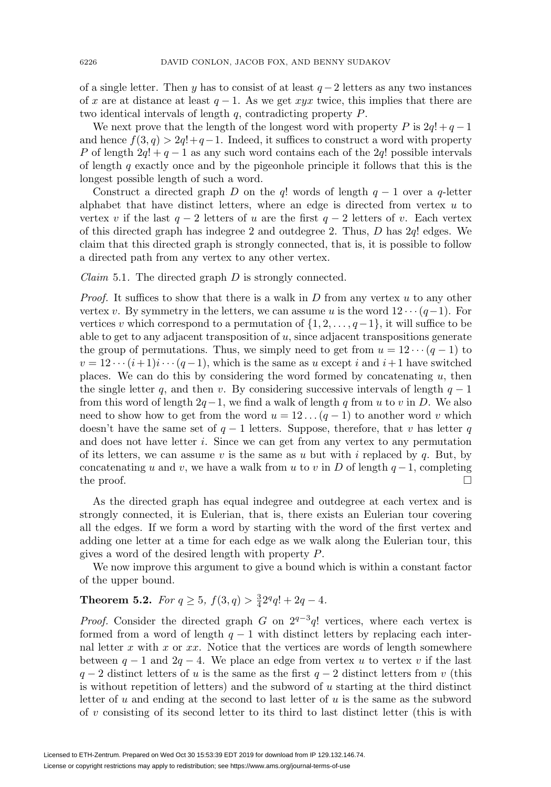of a single letter. Then y has to consist of at least  $q-2$  letters as any two instances of x are at distance at least  $q - 1$ . As we get xyx twice, this implies that there are two identical intervals of length q, contradicting property P.

We next prove that the length of the longest word with property P is  $2q! + q - 1$ and hence  $f(3, q) > 2q! + q - 1$ . Indeed, it suffices to construct a word with property P of length  $2q! + q - 1$  as any such word contains each of the  $2q!$  possible intervals of length  $q$  exactly once and by the pigeonhole principle it follows that this is the longest possible length of such a word.

Construct a directed graph D on the q! words of length  $q - 1$  over a q-letter alphabet that have distinct letters, where an edge is directed from vertex  $u$  to vertex v if the last  $q - 2$  letters of u are the first  $q - 2$  letters of v. Each vertex of this directed graph has indegree 2 and outdegree 2. Thus, D has 2q! edges. We claim that this directed graph is strongly connected, that is, it is possible to follow a directed path from any vertex to any other vertex.

<span id="page-13-0"></span>*Claim* 5.1. The directed graph  $D$  is strongly connected.

*Proof.* It suffices to show that there is a walk in  $D$  from any vertex  $u$  to any other vertex v. By symmetry in the letters, we can assume u is the word  $12 \cdots (q-1)$ . For vertices v which correspond to a permutation of  $\{1, 2, \ldots, q-1\}$ , it will suffice to be able to get to any adjacent transposition of u, since adjacent transpositions generate the group of permutations. Thus, we simply need to get from  $u = 12 \cdots (q-1)$  to  $v = 12 \cdots (i+1)i \cdots (q-1)$ , which is the same as u except i and  $i+1$  have switched places. We can do this by considering the word formed by concatenating u, then the single letter q, and then v. By considering successive intervals of length  $q - 1$ from this word of length  $2q-1$ , we find a walk of length q from u to v in D. We also need to show how to get from the word  $u = 12 \dots (q - 1)$  to another word v which doesn't have the same set of  $q-1$  letters. Suppose, therefore, that v has letter q and does not have letter i. Since we can get from any vertex to any permutation of its letters, we can assume v is the same as u but with i replaced by q. But, by concatenating u and v, we have a walk from u to v in D of length  $q-1$ , completing the proof.  $\Box$  $\Box$ 

As the directed graph has equal indegree and outdegree at each vertex and is strongly connected, it is Eulerian, that is, there exists an Eulerian tour covering all the edges. If we form a word by starting with the word of the first vertex and adding one letter at a time for each edge as we walk along the Eulerian tour, this gives a word of the desired length with property P.

We now improve this argument to give a bound which is within a constant factor of the upper bound.

# **Theorem 5.2.** For  $q \ge 5$ ,  $f(3,q) > \frac{3}{4}2^q q! + 2q - 4$ .

*Proof.* Consider the directed graph G on  $2^{q-3}q!$  vertices, where each vertex is formed from a word of length  $q - 1$  with distinct letters by replacing each internal letter  $x$  with  $x$  or  $xx$ . Notice that the vertices are words of length somewhere between  $q - 1$  and  $2q - 4$ . We place an edge from vertex u to vertex v if the last  $q - 2$  distinct letters of u is the same as the first  $q - 2$  distinct letters from v (this is without repetition of letters) and the subword of  $u$  starting at the third distinct letter of  $u$  and ending at the second to last letter of  $u$  is the same as the subword of v consisting of its second letter to its third to last distinct letter (this is with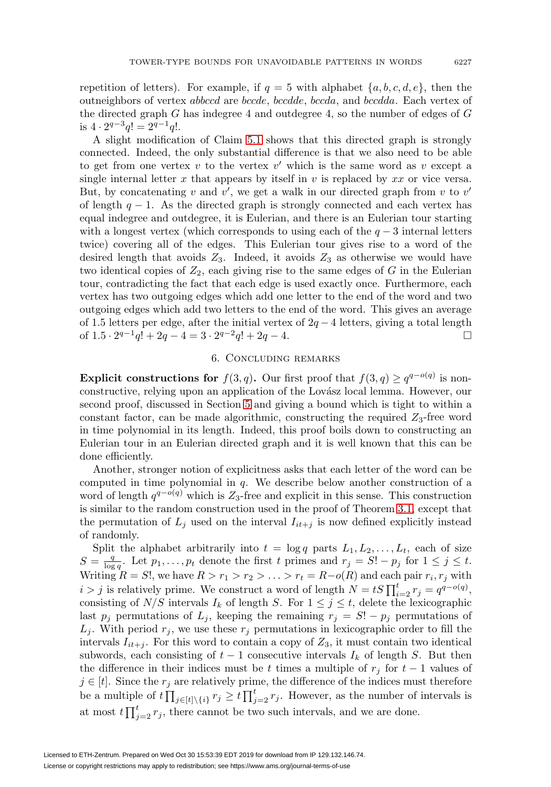repetition of letters). For example, if  $q = 5$  with alphabet  $\{a, b, c, d, e\}$ , then the outneighbors of vertex abbccd are bccde, bccdde, bccda, and bccdda. Each vertex of the directed graph  $G$  has indegree 4 and outdegree 4, so the number of edges of  $G$ is  $4 \cdot 2^{q-3}q! = 2^{q-1}q!$ .

A slight modification of Claim [5.1](#page-13-0) shows that this directed graph is strongly connected. Indeed, the only substantial difference is that we also need to be able to get from one vertex v to the vertex v' which is the same word as v except a single internal letter x that appears by itself in v is replaced by  $xx$  or vice versa. But, by concatenating v and  $v'$ , we get a walk in our directed graph from v to  $v'$ of length  $q - 1$ . As the directed graph is strongly connected and each vertex has equal indegree and outdegree, it is Eulerian, and there is an Eulerian tour starting with a longest vertex (which corresponds to using each of the  $q-3$  internal letters twice) covering all of the edges. This Eulerian tour gives rise to a word of the desired length that avoids  $Z_3$ . Indeed, it avoids  $Z_3$  as otherwise we would have two identical copies of  $Z_2$ , each giving rise to the same edges of G in the Eulerian tour, contradicting the fact that each edge is used exactly once. Furthermore, each vertex has two outgoing edges which add one letter to the end of the word and two outgoing edges which add two letters to the end of the word. This gives an average of 1.5 letters per edge, after the initial vertex of  $2q - 4$  letters, giving a total length of  $1.5 \cdot 2^{q-1}q! + 2q - 4 = 3 \cdot 2^{q-2}q! + 2q - 4.$  $\Box$ 

## 6. Concluding remarks

**Explicit constructions for**  $f(3,q)$ . Our first proof that  $f(3,q) \geq q^{q-o(q)}$  is nonconstructive, relying upon an application of the Lovász local lemma. However, our second proof, discussed in Section [5](#page-11-0) and giving a bound which is tight to within a constant factor, can be made algorithmic, constructing the required  $Z_3$ -free word in time polynomial in its length. Indeed, this proof boils down to constructing an Eulerian tour in an Eulerian directed graph and it is well known that this can be done efficiently.

Another, stronger notion of explicitness asks that each letter of the word can be computed in time polynomial in q. We describe below another construction of a word of length  $q^{q-o(q)}$  which is Z<sub>3</sub>-free and explicit in this sense. This construction is similar to the random construction used in the proof of Theorem [3.1,](#page-4-2) except that the permutation of  $L_j$  used on the interval  $I_{it+j}$  is now defined explicitly instead of randomly.

Split the alphabet arbitrarily into  $t = \log q$  parts  $L_1, L_2, \ldots, L_t$ , each of size  $S = \frac{q}{\log q}$ . Let  $p_1, \ldots, p_t$  denote the first t primes and  $r_j = S! - p_j$  for  $1 \leq j \leq t$ . Writing  $R = S!$ , we have  $R > r_1 > r_2 > \ldots > r_t = R-o(R)$  and each pair  $r_i, r_j$  with  $i > j$  is relatively prime. We construct a word of length  $N = tS \prod_{i=2}^{t} r_j = q^{q - o(q)}$ , consisting of  $N/S$  intervals  $I_k$  of length S. For  $1 \leq j \leq t$ , delete the lexicographic last  $p_j$  permutations of  $L_j$ , keeping the remaining  $r_j = S! - p_j$  permutations of  $L_j$ . With period  $r_j$ , we use these  $r_j$  permutations in lexicographic order to fill the intervals  $I_{it+j}$ . For this word to contain a copy of  $Z_3$ , it must contain two identical subwords, each consisting of  $t-1$  consecutive intervals  $I_k$  of length S. But then the difference in their indices must be t times a multiple of  $r_i$  for  $t-1$  values of  $j \in [t]$ . Since the  $r_j$  are relatively prime, the difference of the indices must therefore be a multiple of  $t \prod_{j \in [t] \setminus \{i\}} r_j \geq t \prod_{j=2}^t r_j$ . However, as the number of intervals is at most  $t \prod_{j=2}^{t} r_j$ , there cannot be two such intervals, and we are done.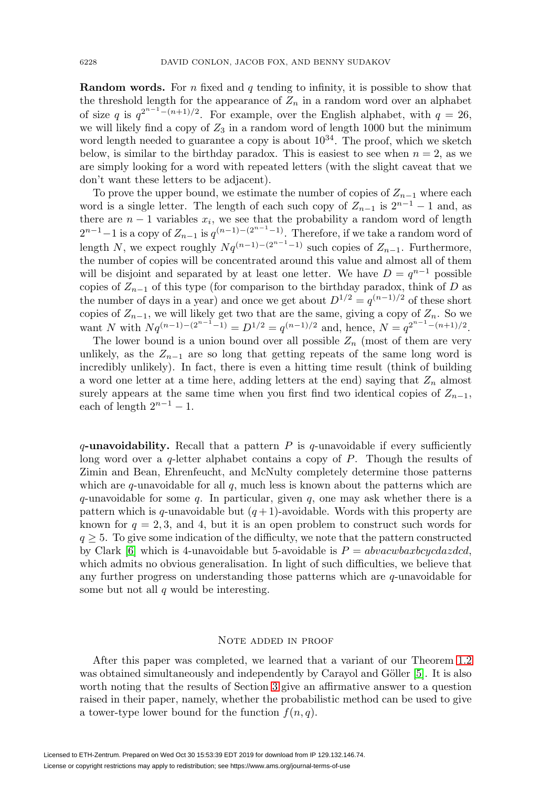**Random words.** For n fixed and q tending to infinity, it is possible to show that the threshold length for the appearance of  $Z_n$  in a random word over an alphabet of size q is  $q^{2^{n-1}-(n+1)/2}$ . For example, over the English alphabet, with  $q=26$ , we will likely find a copy of  $Z_3$  in a random word of length 1000 but the minimum word length needed to guarantee a copy is about  $10^{34}$ . The proof, which we sketch below, is similar to the birthday paradox. This is easiest to see when  $n = 2$ , as we are simply looking for a word with repeated letters (with the slight caveat that we don't want these letters to be adjacent).

To prove the upper bound, we estimate the number of copies of  $Z_{n-1}$  where each word is a single letter. The length of each such copy of  $Z_{n-1}$  is  $2^{n-1} - 1$  and, as there are  $n-1$  variables  $x_i$ , we see that the probability a random word of length  $2^{n-1}-1$  is a copy of  $Z_{n-1}$  is  $q^{(n-1)-(2^{n-1}-1)}$ . Therefore, if we take a random word of length N, we expect roughly  $Nq^{(n-1)-(2^{n-1}-1)}$  such copies of  $Z_{n-1}$ . Furthermore, the number of copies will be concentrated around this value and almost all of them will be disjoint and separated by at least one letter. We have  $D = q^{n-1}$  possible copies of  $Z_{n-1}$  of this type (for comparison to the birthday paradox, think of D as the number of days in a year) and once we get about  $D^{1/2} = q^{(n-1)/2}$  of these short copies of  $Z_{n-1}$ , we will likely get two that are the same, giving a copy of  $Z_n$ . So we want N with  $Nq^{(n-1)-(2^{n-1}-1)} = D^{1/2} = q^{(n-1)/2}$  and, hence,  $N = q^{2^{n-1}-(n+1)/2}$ .

The lower bound is a union bound over all possible  $Z_n$  (most of them are very unlikely, as the  $Z_{n-1}$  are so long that getting repeats of the same long word is incredibly unlikely). In fact, there is even a hitting time result (think of building a word one letter at a time here, adding letters at the end) saying that  $Z_n$  almost surely appears at the same time when you first find two identical copies of  $Z_{n-1}$ , each of length  $2^{n-1} - 1$ .

 $q$ -unavoidability. Recall that a pattern  $P$  is  $q$ -unavoidable if every sufficiently long word over a q-letter alphabet contains a copy of P. Though the results of Zimin and Bean, Ehrenfeucht, and McNulty completely determine those patterns which are  $q$ -unavoidable for all  $q$ , much less is known about the patterns which are q-unavoidable for some q. In particular, given q, one may ask whether there is a pattern which is q-unavoidable but  $(q+1)$ -avoidable. Words with this property are known for  $q = 2, 3$ , and 4, but it is an open problem to construct such words for  $q \geq 5$ . To give some indication of the difficulty, we note that the pattern constructed by Clark [\[6\]](#page-16-13) which is 4-unavoidable but 5-avoidable is  $P = abvacwbaxbcycdazdcd$ , which admits no obvious generalisation. In light of such difficulties, we believe that any further progress on understanding those patterns which are q-unavoidable for some but not all  $q$  would be interesting.

## Note added in proof

After this paper was completed, we learned that a variant of our Theorem [1.2](#page-2-0) was obtained simultaneously and independently by Carayol and Göller  $[5]$ . It is also worth noting that the results of Section [3](#page-4-0) give an affirmative answer to a question raised in their paper, namely, whether the probabilistic method can be used to give a tower-type lower bound for the function  $f(n, q)$ .